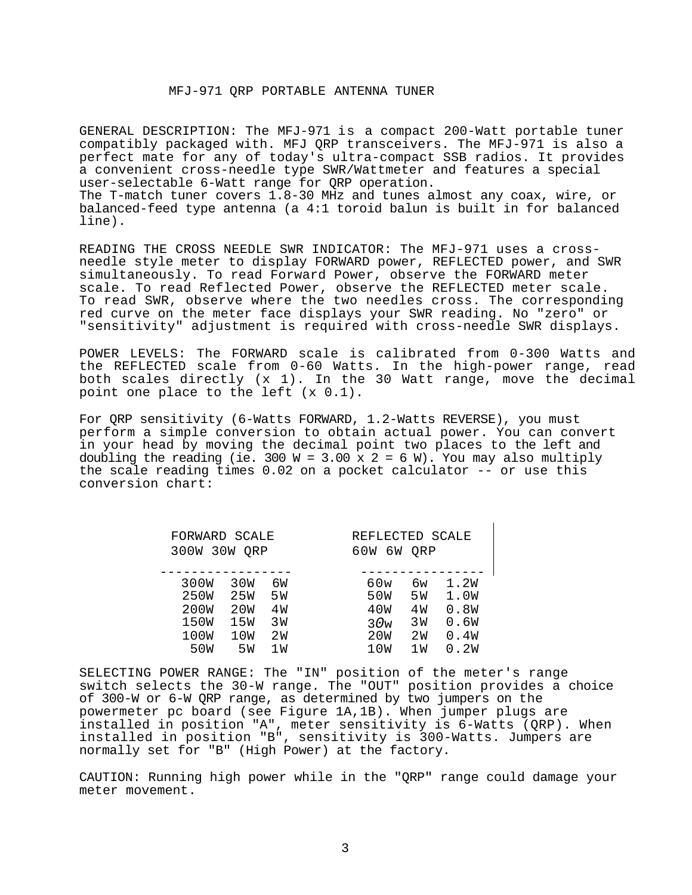## MFJ-971 QRP PORTABLE ANTENNA TUNER

GENERAL DESCRIPTION: The MFJ-971 is a compact 200-Watt portable tuner compatibly packaged with. MFJ QRP transceivers. The MFJ-971 is also a perfect mate for any of today's ultra-compact SSB radios. It provides a convenient cross-needle type SWR/Wattmeter and features a special user-selectable 6-Watt range for QRP operation. The T-match tuner covers 1.8-30 MHz and tunes almost any coax, wire, or balanced-feed type antenna (a 4:1 toroid balun is built in for balanced line).

READING THE CROSS NEEDLE SWR INDICATOR: The MFJ-971 uses a crossneedle style meter to display FORWARD power, REFLECTED power, and SWR simultaneously. To read Forward Power, observe the FORWARD meter scale. To read Reflected Power, observe the REFLECTED meter scale. To read SWR, observe where the two needles cross. The corresponding red curve on the meter face displays your SWR reading. No "zero" or "sensitivity" adjustment is required with cross-needle SWR displays.

POWER LEVELS: The FORWARD scale is calibrated from 0-300 Watts and the REFLECTED scale from 0-60 Watts. In the high-power range, read both scales directly (x 1). In the 30 Watt range, move the decimal point one place to the left (x 0.1).

For QRP sensitivity (6-Watts FORWARD, 1.2-Watts REVERSE), you must perform a simple conversion to obtain actual power. You can convert in your head by moving the decimal point two places to the left and doubling the reading (ie. 300 W = 3.00 x 2 = 6 W). You may also multiply the scale reading times 0.02 on a pocket calculator -- or use this conversion chart:

| FORWARD SCALE<br>300W 30W<br>ORP |                 |     | REFLECTED SCALE<br>60W<br>6 W<br>ORP |     |      |  |
|----------------------------------|-----------------|-----|--------------------------------------|-----|------|--|
|                                  |                 |     |                                      |     |      |  |
| 300W                             | 30W             | бW  | 60w                                  | бw  | 1.2W |  |
| 250W                             | 25 <sub>W</sub> | 5 W | 50W                                  | 5 M | 1.0W |  |
| 200W                             | 20W             | 4 M | 40W                                  | 4 M | 0.8W |  |
| 150W                             | 15W             | 3 M | 30w                                  | 3 W | 0.6W |  |
| 100W                             | 10W             | 2 M | 20 <sub>W</sub>                      | 2 M | 0.4W |  |
| 50 <sub>W</sub>                  | 5 W             | 1 W | 10W                                  | 1 W | 0.2W |  |

SELECTING POWER RANGE: The "IN" position of the meter's range switch selects the 30-W range. The "OUT" position provides a choice of 300-W or 6-W QRP range, as determined by two jumpers on the powermeter pc board (see Figure 1A,1B). When jumper plugs are installed in position "A", meter sensitivity is 6-Watts (QRP). When installed in position "B", sensitivity is 300-Watts. Jumpers are normally set for "B" (High Power) at the factory.

CAUTION: Running high power while in the "QRP" range could damage your meter movement.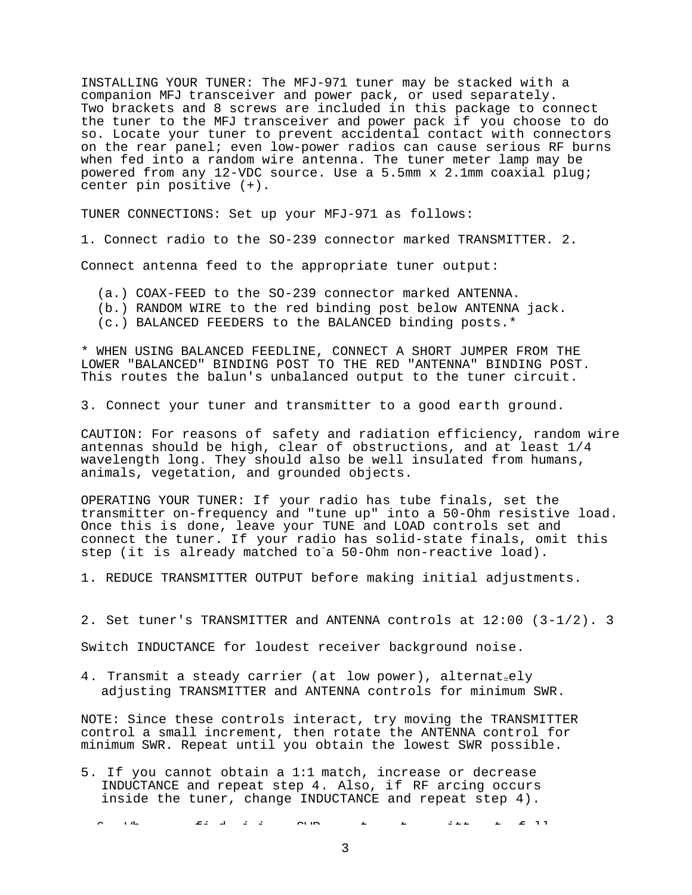INSTALLING YOUR TUNER: The MFJ-971 tuner may be stacked with a companion MFJ transceiver and power pack, or used separately. Two brackets and 8 screws are included in this package to connect the tuner to the MFJ transceiver and power pack if you choose to do so. Locate your tuner to prevent accidental contact with connectors on the rear panel; even low-power radios can cause serious RF burns when fed into a random wire antenna. The tuner meter lamp may be powered from any 12-VDC source. Use a 5.5mm x 2.1mm coaxial plug; center pin positive (+).

TUNER CONNECTIONS: Set up your MFJ-971 as follows:

1. Connect radio to the SO-239 connector marked TRANSMITTER. 2.

Connect antenna feed to the appropriate tuner output:

- (a.) COAX-FEED to the SO-239 connector marked ANTENNA.
- (b.) RANDOM WIRE to the red binding post below ANTENNA jack.
- (c.) BALANCED FEEDERS to the BALANCED binding posts.\*

\* WHEN USING BALANCED FEEDLINE, CONNECT A SHORT JUMPER FROM THE LOWER "BALANCED" BINDING POST TO THE RED "ANTENNA" BINDING POST. This routes the balun's unbalanced output to the tuner circuit.

3. Connect your tuner and transmitter to a good earth ground.

CAUTION: For reasons of safety and radiation efficiency, random wire antennas should be high, clear of obstructions, and at least 1/4 wavelength long. They should also be well insulated from humans, animals, vegetation, and grounded objects.

OPERATING YOUR TUNER: If your radio has tube finals, set the transmitter on-frequency and "tune up" into a 50-Ohm resistive load. Once this is done, leave your TUNE and LOAD controls set and connect the tuner. If your radio has solid-state finals, omit this step (it is already matched to a 50-Ohm non-reactive load).

1. REDUCE TRANSMITTER OUTPUT before making initial adjustments.

2. Set tuner's TRANSMITTER and ANTENNA controls at 12:00 (3-1/2). 3

Switch INDUCTANCE for loudest receiver background noise.

4. Transmit a steady carrier (at low power), alternat=ely adjusting TRANSMITTER and ANTENNA controls for minimum SWR.

NOTE: Since these controls interact, try moving the TRANSMITTER control a small increment, then rotate the ANTENNA control for minimum SWR. Repeat until you obtain the lowest SWR possible.

5. If you cannot obtain a 1:1 match, increase or decrease INDUCTANCE and repeat step 4. Also, if RF arcing occurs inside the tuner, change INDUCTANCE and repeat step 4).

6 Wh fi d i fi d i sweep that the sweep that the sweep that the sweep that the sweep that the sweep that the s<br>The sweep that the sweep that the sweep that the sweep that the sweep that the sweep that the sweep that the s

3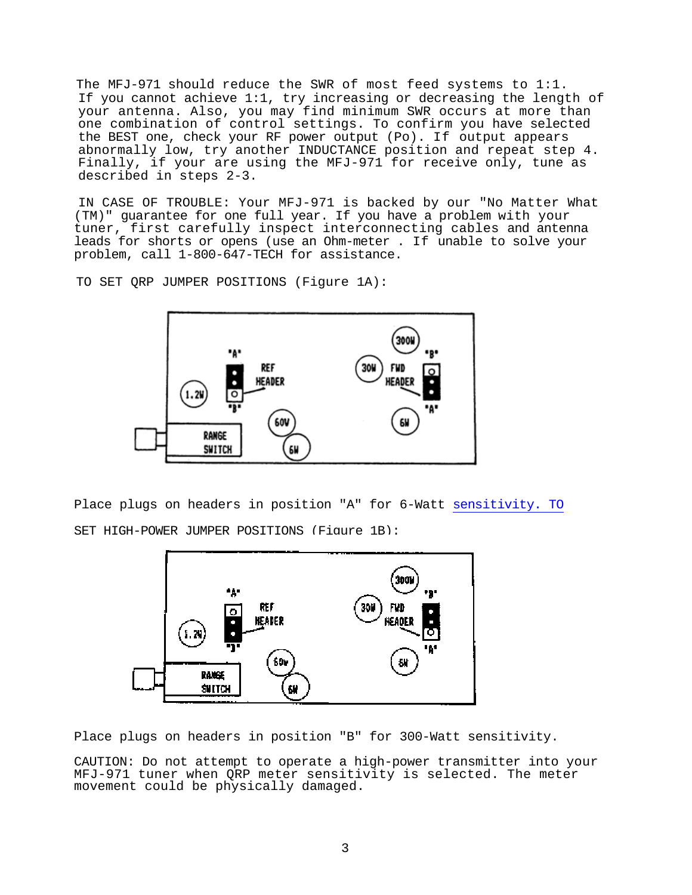The MFJ-971 should reduce the SWR of most feed systems to 1:1. If you cannot achieve 1:1, try increasing or decreasing the length of your antenna. Also, you may find minimum SWR occurs at more than one combination of control settings. To confirm you have selected the BEST one, check your RF power output (Po). If output appears abnormally low, try another INDUCTANCE position and repeat step 4. Finally, if your are using the MFJ-971 for receive only, tune as described in steps 2-3.

IN CASE OF TROUBLE: Your MFJ-971 is backed by our "No Matter What (TM)" guarantee for one full year. If you have a problem with your tuner, first carefully inspect interconnecting cables and antenna leads for shorts or opens (use an Ohm-meter . If unable to solve your problem, call 1-800-647-TECH for assistance.

TO SET QRP JUMPER POSITIONS (Figure 1A):



Place plugs on headers in position "A" for 6-Watt sensitivity. TO SET HIGH-POWER JUMPER POSITIONS (Figure 1B):



Place plugs on headers in position "B" for 300-Watt sensitivity.

CAUTION: Do not attempt to operate a high-power transmitter into your MFJ-971 tuner when QRP meter sensitivity is selected. The meter movement could be physically damaged.